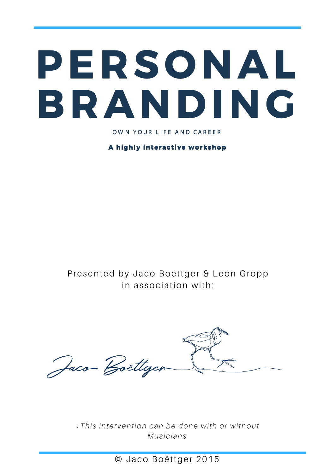## PERSONAL BRANDING

OWN YOUR LIFE AND CAREER

A highly interactive workshop

Presented by Jaco Boëttger & Leon Gropp in association with:

Jaco Boettgen

\* This intervention can be done with or without Musicians

© Jaco Boëttger 2015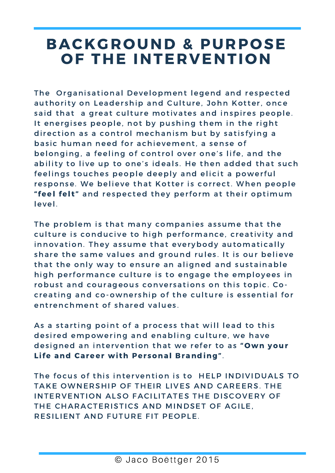### BACKGROUND & PURPOSE OF THE INTERVENTION

The Organisational Development legend and respected authority on Leadership and Culture, John Kotter, once said that a great culture motivates and inspires people. It energises people, not by pushing them in the right direction as a control mechanism but by satisfying a basic human need for achievement, a sense of belonging, a feeling of control over one's life, and the ability to live up to one's ideals. He then added that such feelings touches people deeply and elicit a powerful response. We believe that Kotter is correct. When people "feel felt" and respected they perform at their optimum level.

The problem is that many companies assume that the culture is conducive to high performance, creativity and innovation. They assume that everybody automatically share the same values and ground rules. It is our believe that the only way to ensure an aligned and sustainable high performance culture is to engage the employees in robust and courageous conversations on this topic. Cocreating and co-ownership of the culture is essential for entrenchment of shared values.

As a starting point of a process that will lead to this desired empowering and enabling culture, we have designed an intervention that we refer to as "Own your Life and Career with Personal Branding".

The focus of this intervention is to HELP INDIVIDUALS TO TAKE OWNERSHIP OF THEIR LIVES AND CAREERS. THE INTERVENTION ALSO FACILITATES THE DISCOVERY OF THE CHARACTERISTICS AND MINDSET OF AGILE, RESILIENT AND FUTURE FIT PEOPLE.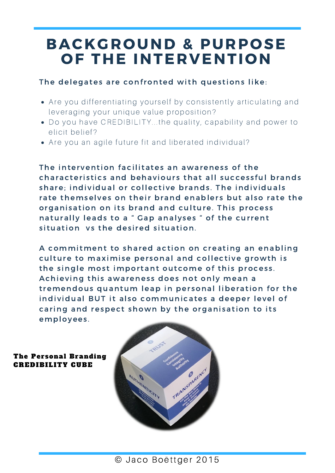### BACKGROUND & PURPOSE OF THE INTERVENTION

#### The delegates are confronted with questions like:

- Are you differentiating yourself by consistently articulating and lever aging your unique value proposition?
- Do you have CREDIBILITY...the quality, capability and power to elicit belief?
- Are you an agile future fit and liberated individual?

The intervention facilitates an awareness of the characteristics and behaviours that all successful brands share: individual or collective brands. The individuals rate themselves on their brand enablers but also rate the organisation on its brand and culture. This process naturally leads to a " Gap analyses " of the current situation vs the desired situation.

A commitment to shared action on creating an enabling culture to maximise personal and collective growth is the single most important outcome of this process. Achieving this awareness does not only mean a tremendous quantum leap in personal liberation for the individual BUT it also communicates a deeper level of caring and respect shown by the organisation to its employees .

The Personal Branding CREDIBILITY CUBE

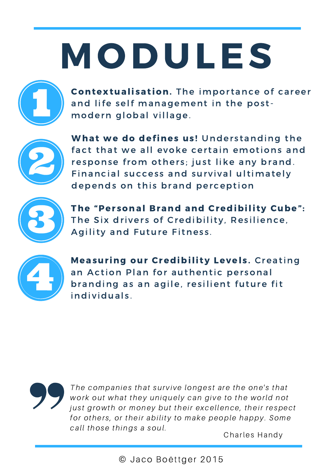# MODULES



Contextualisation. The importance of career and life self management in the postmodern global village.



What we do defines us! Understanding the fact that we all evoke certain emotions and response from others; just like any brand. Financial success and survival ultimately depends on this brand perception



The "Personal Brand and Credibility Cube": The Six drivers of Credibility, Resilience, Agility and Future Fitness.



Measuring our Credibility Levels. Creating an Action Plan for authentic personal branding as an agile, resilient future fit individuals.



The companies that survive longest are the one's that work out what they uniquely can give to the world not just growth or money but their excellence, their respect for others, or their ability to make people happy. Some call those things a soul.

Charles Handy